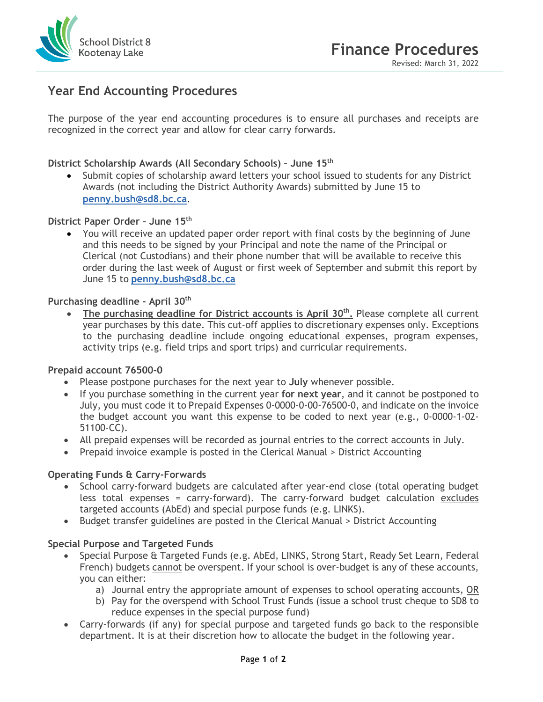

# **Year End Accounting Procedures**

The purpose of the year end accounting procedures is to ensure all purchases and receipts are recognized in the correct year and allow for clear carry forwards.

## **District Scholarship Awards (All Secondary Schools) – June 15th**

• Submit copies of scholarship award letters your school issued to students for any District Awards (not including the District Authority Awards) submitted by June 15 to **[penny.bush@sd8.bc.ca](mailto:penny.bush@sd8.bc.ca)**.

## **District Paper Order – June 15th**

• You will receive an updated paper order report with final costs by the beginning of June and this needs to be signed by your Principal and note the name of the Principal or Clerical (not Custodians) and their phone number that will be available to receive this order during the last week of August or first week of September and submit this report by June 15 to **[penny.bush@sd8.bc.ca](mailto:penny.bush@sd8.bc.ca)**

#### **Purchasing deadline - April 30th**

• **The purchasing deadline for District accounts is April 30th.** Please complete all current year purchases by this date. This cut-off applies to discretionary expenses only. Exceptions to the purchasing deadline include ongoing educational expenses, program expenses, activity trips (e.g. field trips and sport trips) and curricular requirements.

#### **Prepaid account 76500-0**

- Please postpone purchases for the next year to **July** whenever possible.
- If you purchase something in the current year **for next year**, and it cannot be postponed to July, you must code it to Prepaid Expenses 0-0000-0-00-76500-0, and indicate on the invoice the budget account you want this expense to be coded to next year (e.g., 0-0000-1-02- 51100-CC).
- All prepaid expenses will be recorded as journal entries to the correct accounts in July.
- Prepaid invoice example is posted in the Clerical Manual > District Accounting

#### **Operating Funds & Carry-Forwards**

- School carry-forward budgets are calculated after year-end close (total operating budget less total expenses = carry-forward). The carry-forward budget calculation excludes targeted accounts (AbEd) and special purpose funds (e.g. LINKS).
- Budget transfer guidelines are posted in the Clerical Manual > District Accounting

## **Special Purpose and Targeted Funds**

- Special Purpose & Targeted Funds (e.g. AbEd, LINKS, Strong Start, Ready Set Learn, Federal French) budgets cannot be overspent. If your school is over-budget is any of these accounts, you can either:
	- a) Journal entry the appropriate amount of expenses to school operating accounts, OR
	- b) Pay for the overspend with School Trust Funds (issue a school trust cheque to SD8 to reduce expenses in the special purpose fund)
- Carry-forwards (if any) for special purpose and targeted funds go back to the responsible department. It is at their discretion how to allocate the budget in the following year.